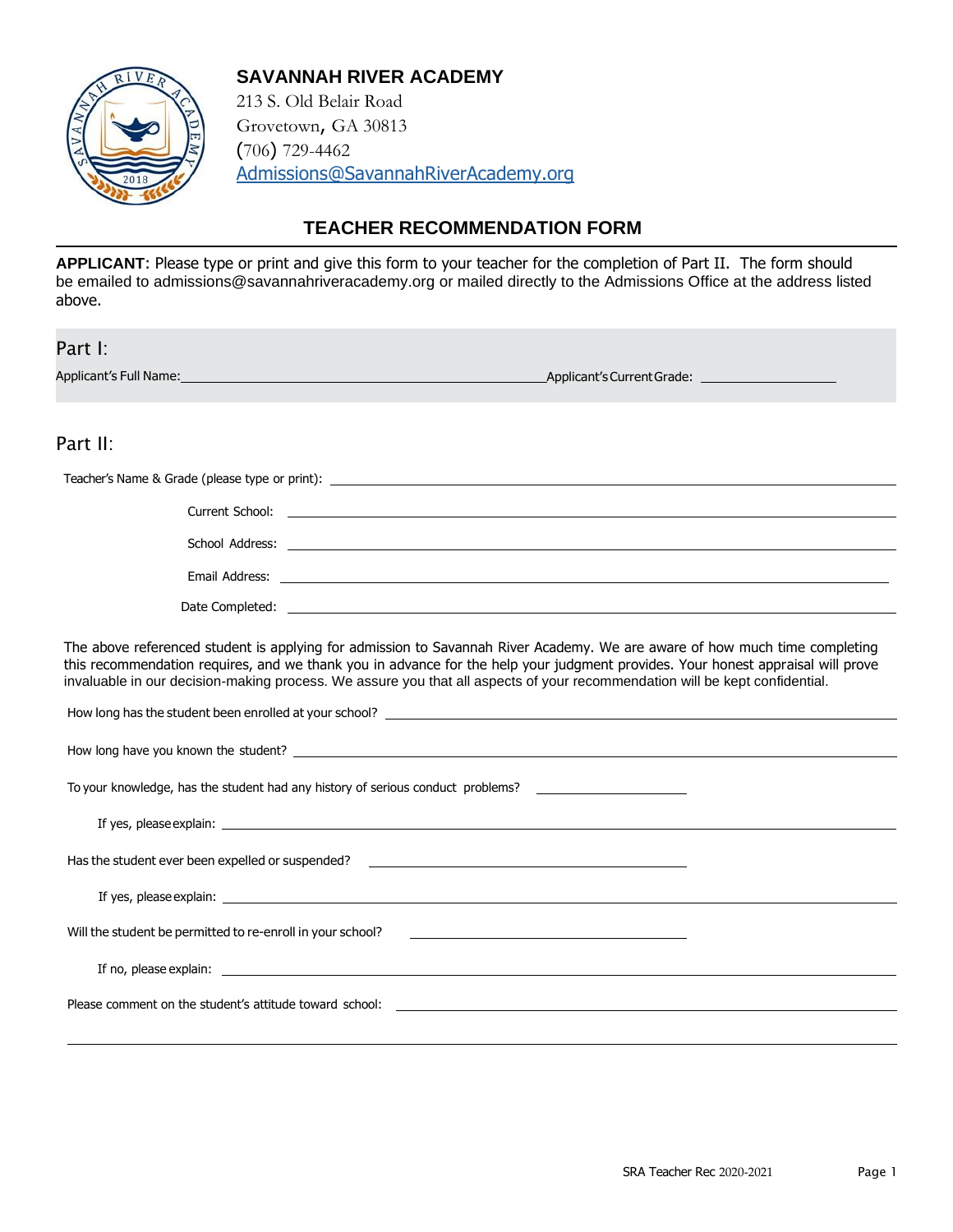

#### **SAVANNAH RIVER ACADEMY**

213 S. Old Belair Road Grovetown, GA 30813 (706) 729-4462 [Admissions@SavannahRiverAcademy.org](mailto:Admissions@SavannahRiverAcademy.org)

## **TEACHER RECOMMENDATION FORM**

**APPLICANT**: Please type or print and give this form to your teacher for the completion of Part II. The form should be emailed to [admissions@savannahriveracademy.org o](mailto:admissions@savannahriveracademy.org)r mailed directly to the Admissions Office at the address listed above.

Part I:

Applicant's Full Name: Applicant's Current Grade:

## Part II:

| Current School: | <u> 1989 - Jan Barat, politik eta politik eta politik eta politik eta politik eta politik eta politik eta politik</u>                                                                                                         |
|-----------------|-------------------------------------------------------------------------------------------------------------------------------------------------------------------------------------------------------------------------------|
|                 |                                                                                                                                                                                                                               |
|                 | Email Address: North and the second state of the second state of the second state of the second state of the second state of the second state of the second state of the second state of the second state of the second state |
| Date Completed: |                                                                                                                                                                                                                               |

The above referenced student is applying for admission to Savannah River Academy. We are aware of how much time completing this recommendation requires, and we thank you in advance for the help your judgment provides. Your honest appraisal will prove invaluable in our decision-making process. We assure you that all aspects of your recommendation will be kept confidential.

| To your knowledge, has the student had any history of serious conduct problems? ____________________                                                                                |
|-------------------------------------------------------------------------------------------------------------------------------------------------------------------------------------|
|                                                                                                                                                                                     |
| Has the student ever been expelled or suspended? ________________________________                                                                                                   |
|                                                                                                                                                                                     |
| Will the student be permitted to re-enroll in your school?<br><u> 1989 - Andrea State Barbara, amerikan personal di personal dengan personal dengan personal dengan personal de</u> |
|                                                                                                                                                                                     |
|                                                                                                                                                                                     |
|                                                                                                                                                                                     |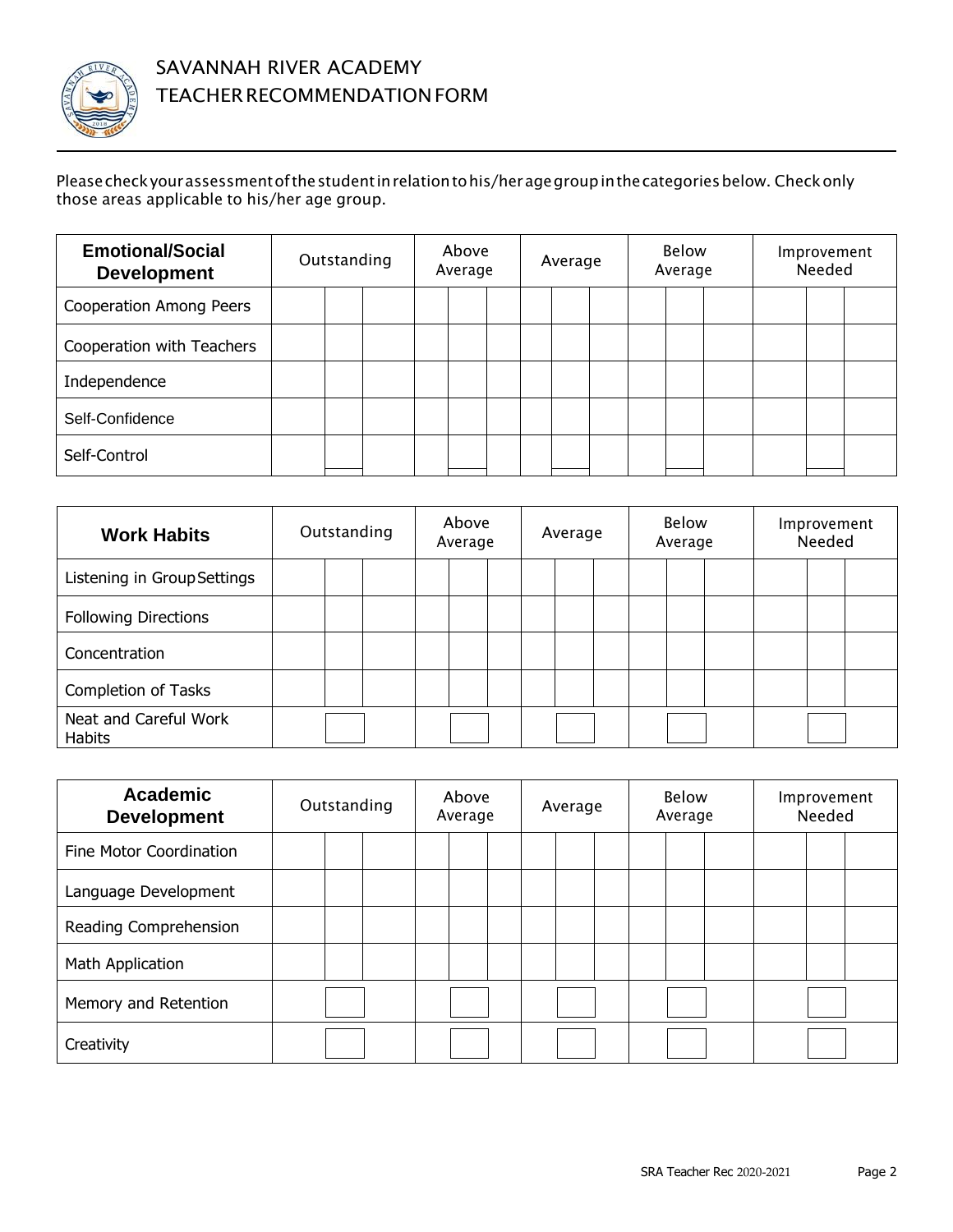

#### Pleasecheckyourassessmentofthestudentinrelationtohis/heragegroupinthecategoriesbelow. Checkonly those areas applicable to his/her age group.

| <b>Emotional/Social</b><br><b>Development</b> | Outstanding |  | Above<br>Average |  |  | Average |  |  | Below<br>Average |  |  | Improvement<br>Needed |  |  |  |
|-----------------------------------------------|-------------|--|------------------|--|--|---------|--|--|------------------|--|--|-----------------------|--|--|--|
| <b>Cooperation Among Peers</b>                |             |  |                  |  |  |         |  |  |                  |  |  |                       |  |  |  |
| Cooperation with Teachers                     |             |  |                  |  |  |         |  |  |                  |  |  |                       |  |  |  |
| Independence                                  |             |  |                  |  |  |         |  |  |                  |  |  |                       |  |  |  |
| Self-Confidence                               |             |  |                  |  |  |         |  |  |                  |  |  |                       |  |  |  |
| Self-Control                                  |             |  |                  |  |  |         |  |  |                  |  |  |                       |  |  |  |

| <b>Work Habits</b>              | Outstanding |  | Above<br>Average |  | Average |  |  | <b>Below</b><br>Average |  |  | Improvement<br>Needed |  |  |
|---------------------------------|-------------|--|------------------|--|---------|--|--|-------------------------|--|--|-----------------------|--|--|
| Listening in Group Settings     |             |  |                  |  |         |  |  |                         |  |  |                       |  |  |
| <b>Following Directions</b>     |             |  |                  |  |         |  |  |                         |  |  |                       |  |  |
| Concentration                   |             |  |                  |  |         |  |  |                         |  |  |                       |  |  |
| Completion of Tasks             |             |  |                  |  |         |  |  |                         |  |  |                       |  |  |
| Neat and Careful Work<br>Habits |             |  |                  |  |         |  |  |                         |  |  |                       |  |  |

| <b>Academic</b><br><b>Development</b> | Outstanding |  | Above<br>Average |  |  | Average |  |  | <b>Below</b><br>Average |  |  | Improvement<br>Needed |  |  |  |
|---------------------------------------|-------------|--|------------------|--|--|---------|--|--|-------------------------|--|--|-----------------------|--|--|--|
| Fine Motor Coordination               |             |  |                  |  |  |         |  |  |                         |  |  |                       |  |  |  |
| Language Development                  |             |  |                  |  |  |         |  |  |                         |  |  |                       |  |  |  |
| Reading Comprehension                 |             |  |                  |  |  |         |  |  |                         |  |  |                       |  |  |  |
| Math Application                      |             |  |                  |  |  |         |  |  |                         |  |  |                       |  |  |  |
| Memory and Retention                  |             |  |                  |  |  |         |  |  |                         |  |  |                       |  |  |  |
| Creativity                            |             |  |                  |  |  |         |  |  |                         |  |  |                       |  |  |  |